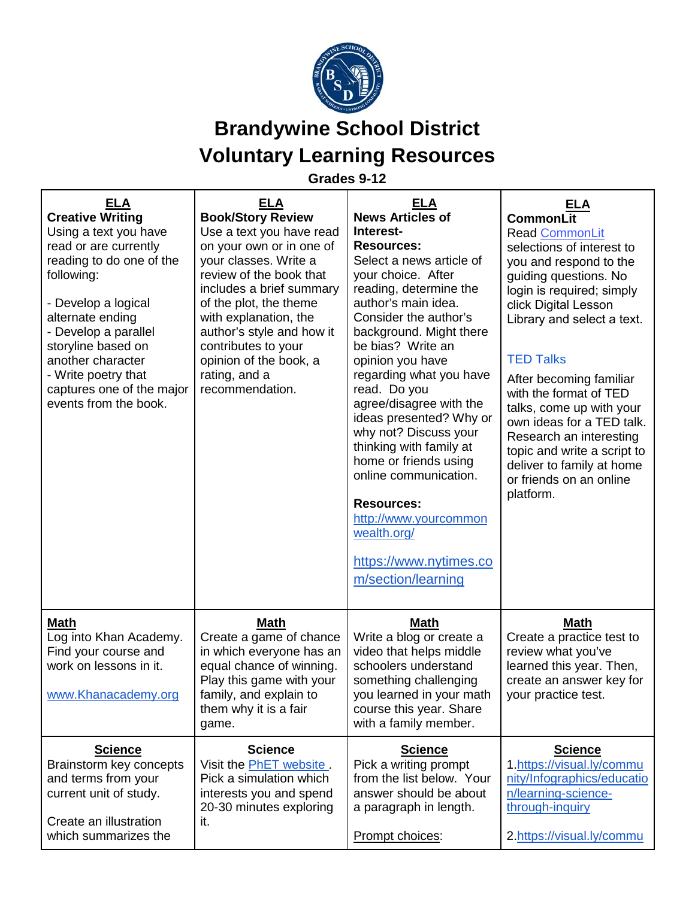

**Grades 9-12**

| <b>ELA</b><br><b>Creative Writing</b><br>Using a text you have<br>read or are currently<br>reading to do one of the<br>following:<br>- Develop a logical<br>alternate ending<br>- Develop a parallel<br>storyline based on | <b>ELA</b><br><b>Book/Story Review</b><br>Use a text you have read<br>on your own or in one of<br>your classes. Write a<br>review of the book that<br>includes a brief summary<br>of the plot, the theme<br>with explanation, the<br>author's style and how it<br>contributes to your | <b>ELA</b><br><b>News Articles of</b><br>Interest-<br><b>Resources:</b><br>Select a news article of<br>your choice. After<br>reading, determine the<br>author's main idea.<br>Consider the author's<br>background. Might there<br>be bias? Write an                                                                                  | <b>ELA</b><br>CommonLit<br><b>Read CommonLit</b><br>selections of interest to<br>you and respond to the<br>guiding questions. No<br>login is required; simply<br>click Digital Lesson<br>Library and select a text.                                           |
|----------------------------------------------------------------------------------------------------------------------------------------------------------------------------------------------------------------------------|---------------------------------------------------------------------------------------------------------------------------------------------------------------------------------------------------------------------------------------------------------------------------------------|--------------------------------------------------------------------------------------------------------------------------------------------------------------------------------------------------------------------------------------------------------------------------------------------------------------------------------------|---------------------------------------------------------------------------------------------------------------------------------------------------------------------------------------------------------------------------------------------------------------|
| another character<br>- Write poetry that<br>captures one of the major<br>events from the book.                                                                                                                             | opinion of the book, a<br>rating, and a<br>recommendation.                                                                                                                                                                                                                            | opinion you have<br>regarding what you have<br>read. Do you<br>agree/disagree with the<br>ideas presented? Why or<br>why not? Discuss your<br>thinking with family at<br>home or friends using<br>online communication.<br><b>Resources:</b><br>http://www.yourcommon<br>wealth.org/<br>https://www.nytimes.co<br>m/section/learning | <b>TED Talks</b><br>After becoming familiar<br>with the format of TED<br>talks, come up with your<br>own ideas for a TED talk.<br>Research an interesting<br>topic and write a script to<br>deliver to family at home<br>or friends on an online<br>platform. |
| <b>Math</b><br>Log into Khan Academy.<br>Find your course and<br>work on lessons in it.<br>www.Khanacademy.org                                                                                                             | <u>Math</u><br>Create a game of chance<br>in which everyone has an<br>equal chance of winning.<br>Play this game with your<br>family, and explain to<br>them why it is a fair<br>game.                                                                                                | <b>Math</b><br>Write a blog or create a<br>video that helps middle<br>schoolers understand<br>something challenging<br>you learned in your math<br>course this year. Share<br>with a family member.                                                                                                                                  | <b>Math</b><br>Create a practice test to<br>review what you've<br>learned this year. Then,<br>create an answer key for<br>your practice test.                                                                                                                 |
| <b>Science</b><br>Brainstorm key concepts<br>and terms from your<br>current unit of study.<br>Create an illustration<br>which summarizes the                                                                               | <b>Science</b><br>Visit the PhET website.<br>Pick a simulation which<br>interests you and spend<br>20-30 minutes exploring<br>it.                                                                                                                                                     | <b>Science</b><br>Pick a writing prompt<br>from the list below. Your<br>answer should be about<br>a paragraph in length.<br>Prompt choices:                                                                                                                                                                                          | <b>Science</b><br>1.https://visual.ly/commu<br>nity/Infographics/educatio<br>n/learning-science-<br>through-inquiry<br>2.https://visual.ly/commu                                                                                                              |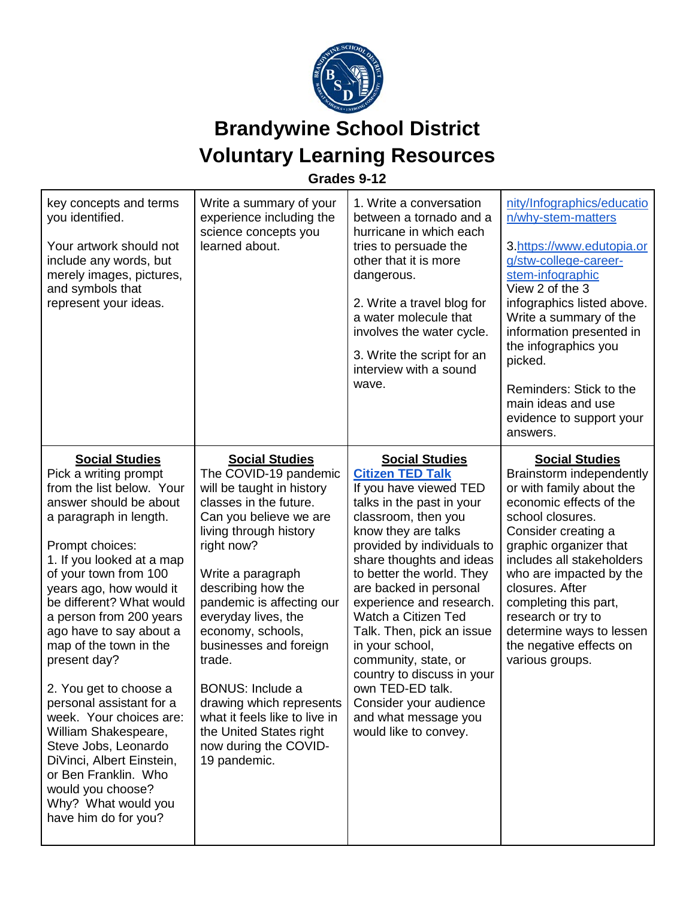

**Grades 9-12**

| key concepts and terms<br>you identified.<br>Your artwork should not<br>include any words, but<br>merely images, pictures,<br>and symbols that<br>represent your ideas.                                                                                                                                                                                                                                                                                                                                                                                                                                                   | Write a summary of your<br>experience including the<br>science concepts you<br>learned about.                                                                                                                                                                                                                                                                                                                                                                                               | 1. Write a conversation<br>between a tornado and a<br>hurricane in which each<br>tries to persuade the<br>other that it is more<br>dangerous.<br>2. Write a travel blog for<br>a water molecule that<br>involves the water cycle.<br>3. Write the script for an<br>interview with a sound<br>wave.                                                                                                                                                                                                                             | nity/Infographics/educatio<br>n/why-stem-matters<br>3.https://www.edutopia.or<br>g/stw-college-career-<br>stem-infographic<br>View 2 of the 3<br>infographics listed above.<br>Write a summary of the<br>information presented in<br>the infographics you<br>picked.<br>Reminders: Stick to the<br>main ideas and use<br>evidence to support your<br>answers.                     |
|---------------------------------------------------------------------------------------------------------------------------------------------------------------------------------------------------------------------------------------------------------------------------------------------------------------------------------------------------------------------------------------------------------------------------------------------------------------------------------------------------------------------------------------------------------------------------------------------------------------------------|---------------------------------------------------------------------------------------------------------------------------------------------------------------------------------------------------------------------------------------------------------------------------------------------------------------------------------------------------------------------------------------------------------------------------------------------------------------------------------------------|--------------------------------------------------------------------------------------------------------------------------------------------------------------------------------------------------------------------------------------------------------------------------------------------------------------------------------------------------------------------------------------------------------------------------------------------------------------------------------------------------------------------------------|-----------------------------------------------------------------------------------------------------------------------------------------------------------------------------------------------------------------------------------------------------------------------------------------------------------------------------------------------------------------------------------|
| <b>Social Studies</b><br>Pick a writing prompt<br>from the list below. Your<br>answer should be about<br>a paragraph in length.<br>Prompt choices:<br>1. If you looked at a map<br>of your town from 100<br>years ago, how would it<br>be different? What would<br>a person from 200 years<br>ago have to say about a<br>map of the town in the<br>present day?<br>2. You get to choose a<br>personal assistant for a<br>week. Your choices are:<br>William Shakespeare,<br>Steve Jobs, Leonardo<br>DiVinci, Albert Einstein,<br>or Ben Franklin. Who<br>would you choose?<br>Why? What would you<br>have him do for you? | <b>Social Studies</b><br>The COVID-19 pandemic<br>will be taught in history<br>classes in the future.<br>Can you believe we are<br>living through history<br>right now?<br>Write a paragraph<br>describing how the<br>pandemic is affecting our<br>everyday lives, the<br>economy, schools,<br>businesses and foreign<br>trade.<br><b>BONUS: Include a</b><br>drawing which represents<br>what it feels like to live in<br>the United States right<br>now during the COVID-<br>19 pandemic. | <b>Social Studies</b><br><b>Citizen TED Talk</b><br>If you have viewed TED<br>talks in the past in your<br>classroom, then you<br>know they are talks<br>provided by individuals to<br>share thoughts and ideas<br>to better the world. They<br>are backed in personal<br>experience and research.<br>Watch a Citizen Ted<br>Talk. Then, pick an issue<br>in your school,<br>community, state, or<br>country to discuss in your<br>own TED-ED talk.<br>Consider your audience<br>and what message you<br>would like to convey. | <b>Social Studies</b><br>Brainstorm independently<br>or with family about the<br>economic effects of the<br>school closures.<br>Consider creating a<br>graphic organizer that<br>includes all stakeholders<br>who are impacted by the<br>closures. After<br>completing this part,<br>research or try to<br>determine ways to lessen<br>the negative effects on<br>various groups. |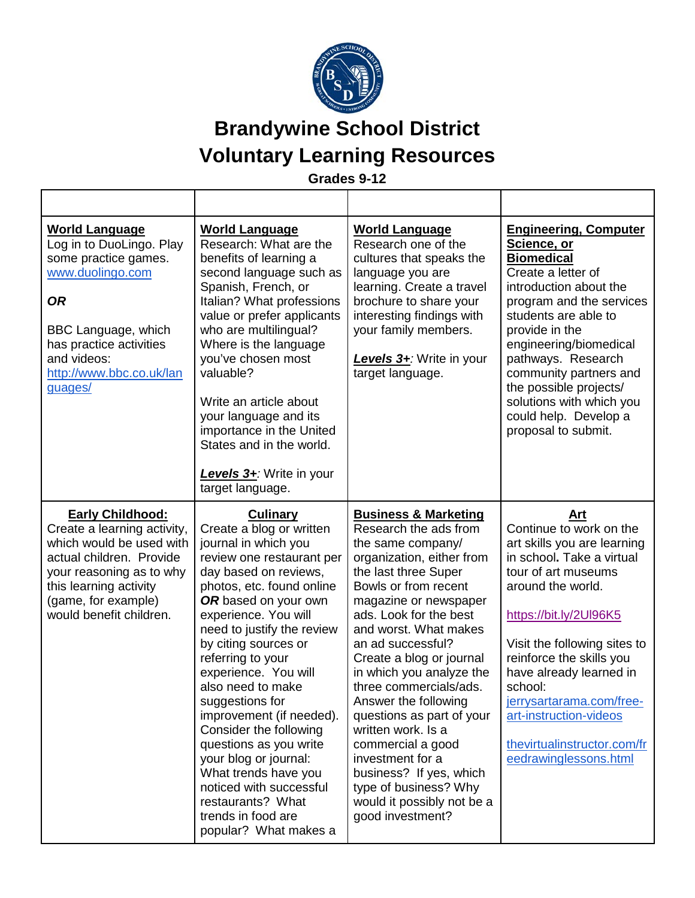

**Grades 9-12**

| <b>World Language</b><br>Log in to DuoLingo. Play<br>some practice games.<br>www.duolingo.com<br><b>OR</b><br><b>BBC Language, which</b><br>has practice activities<br>and videos:<br>http://www.bbc.co.uk/lan<br>quages/ | <b>World Language</b><br>Research: What are the<br>benefits of learning a<br>second language such as<br>Spanish, French, or<br>Italian? What professions<br>value or prefer applicants<br>who are multilingual?<br>Where is the language<br>you've chosen most<br>valuable?<br>Write an article about<br>your language and its<br>importance in the United<br>States and in the world.<br>Levels 3+: Write in your<br>target language.                                                                                                                                            | <b>World Language</b><br>Research one of the<br>cultures that speaks the<br>language you are<br>learning. Create a travel<br>brochure to share your<br>interesting findings with<br>your family members.<br>Levels 3+: Write in your<br>target language.                                                                                                                                                                                                                                                                                                                | <b>Engineering, Computer</b><br>Science, or<br><b>Biomedical</b><br>Create a letter of<br>introduction about the<br>program and the services<br>students are able to<br>provide in the<br>engineering/biomedical<br>pathways. Research<br>community partners and<br>the possible projects/<br>solutions with which you<br>could help. Develop a<br>proposal to submit.           |
|---------------------------------------------------------------------------------------------------------------------------------------------------------------------------------------------------------------------------|-----------------------------------------------------------------------------------------------------------------------------------------------------------------------------------------------------------------------------------------------------------------------------------------------------------------------------------------------------------------------------------------------------------------------------------------------------------------------------------------------------------------------------------------------------------------------------------|-------------------------------------------------------------------------------------------------------------------------------------------------------------------------------------------------------------------------------------------------------------------------------------------------------------------------------------------------------------------------------------------------------------------------------------------------------------------------------------------------------------------------------------------------------------------------|----------------------------------------------------------------------------------------------------------------------------------------------------------------------------------------------------------------------------------------------------------------------------------------------------------------------------------------------------------------------------------|
| <b>Early Childhood:</b><br>Create a learning activity,<br>which would be used with<br>actual children. Provide<br>your reasoning as to why<br>this learning activity<br>(game, for example)<br>would benefit children.    | <b>Culinary</b><br>Create a blog or written<br>journal in which you<br>review one restaurant per<br>day based on reviews,<br>photos, etc. found online<br>OR based on your own<br>experience. You will<br>need to justify the review<br>by citing sources or<br>referring to your<br>experience. You will<br>also need to make<br>suggestions for<br>improvement (if needed).<br>Consider the following<br>questions as you write<br>your blog or journal:<br>What trends have you<br>noticed with successful<br>restaurants? What<br>trends in food are<br>popular? What makes a | <b>Business &amp; Marketing</b><br>Research the ads from<br>the same company/<br>organization, either from<br>the last three Super<br>Bowls or from recent<br>magazine or newspaper<br>ads. Look for the best<br>and worst. What makes<br>an ad successful?<br>Create a blog or journal<br>in which you analyze the<br>three commercials/ads.<br>Answer the following<br>questions as part of your<br>written work. Is a<br>commercial a good<br>investment for a<br>business? If yes, which<br>type of business? Why<br>would it possibly not be a<br>good investment? | Art<br>Continue to work on the<br>art skills you are learning<br>in school. Take a virtual<br>tour of art museums<br>around the world.<br>https://bit.ly/2UI96K5<br>Visit the following sites to<br>reinforce the skills you<br>have already learned in<br>school:<br>jerrysartarama.com/free-<br>art-instruction-videos<br>thevirtualinstructor.com/fr<br>eedrawinglessons.html |